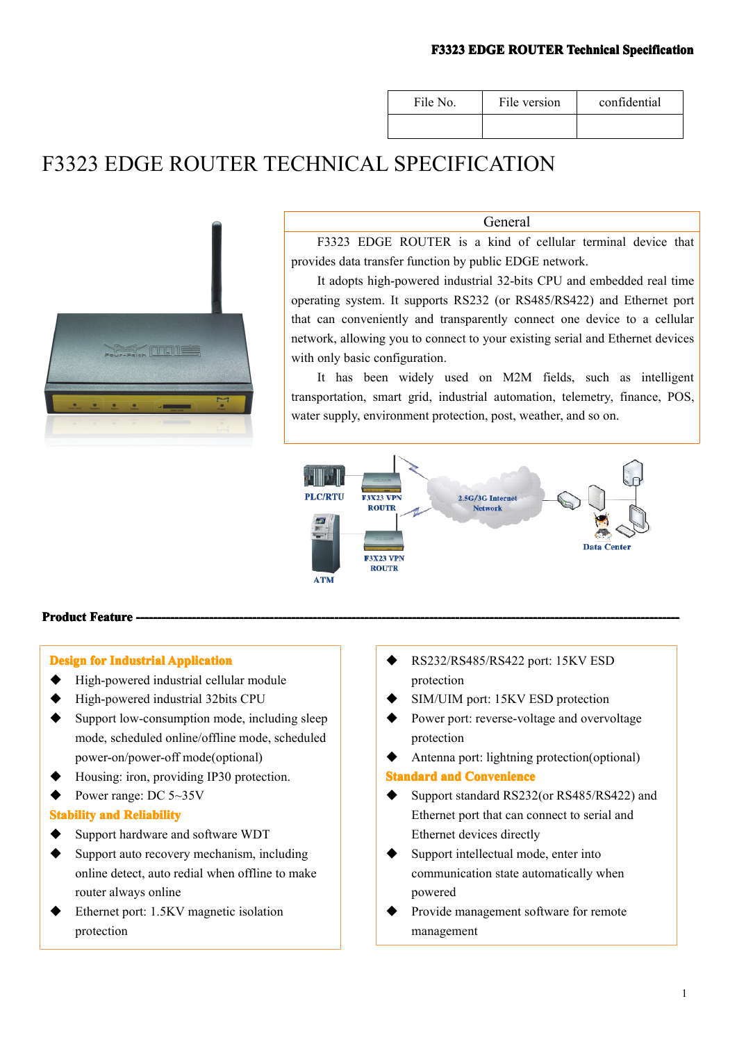| File No. | File version | confidential |
|----------|--------------|--------------|
|          |              |              |

## F3323 EDGE ROUTER TECHNICAL SPECIFICATION



General

F3323 EDGE ROUTER is <sup>a</sup> kind of cellular terminal device that provides data transfer function by public EDGE network.

It adopts high-powered industrial 32-bits CPU and embedded real time operating system. It supports RS232 (or RS485/RS422) and Ethernet por<sup>t</sup> that can conveniently and transparently connect one device to <sup>a</sup> cellular network, allowing you to connect to your existing serial and Ethernet devices with only basic configuration.

It has been widely used on M2M fields, such as intelligent transportation, smart grid, industrial automation, telemetry, finance, POS, water supply, environment protection, post, weather, and so on.



### **Product Feature -**

### **Design for Industrial Application**

- � High-powered industrial cellular module
- � High-powered industrial 32bits CPU
- Support low-consumption mode, including sleep mode, scheduled online/offline mode, scheduled power-on/power-off mode(optional)
- Housing: iron, providing IP30 protection.
- Power range: DC 5~35V

### **Stability and Reliability**

- $\blacklozenge$  Support hardware and software WDT
- $\blacklozenge$  Support auto recovery mechanism, including online detect, auto redial when offline to make router always online
- � Ethernet port: 1.5KV magnetic isolation protection
- � RS232/RS485/RS422 port: 15KV ESD protection
- � SIM/UIM port: 15KV ESD protection
- Power port: reverse-voltage and overvoltage protection
- Antenna port: lightning protection(optional)

### **Standard and Convenience**

- Support standard RS232(or RS485/RS422) and Ethernet por<sup>t</sup> that can connect to serial and Ethernet devices directly
- � Support intellectual mode, enter into communication state automatically when powered
- Provide management software for remote management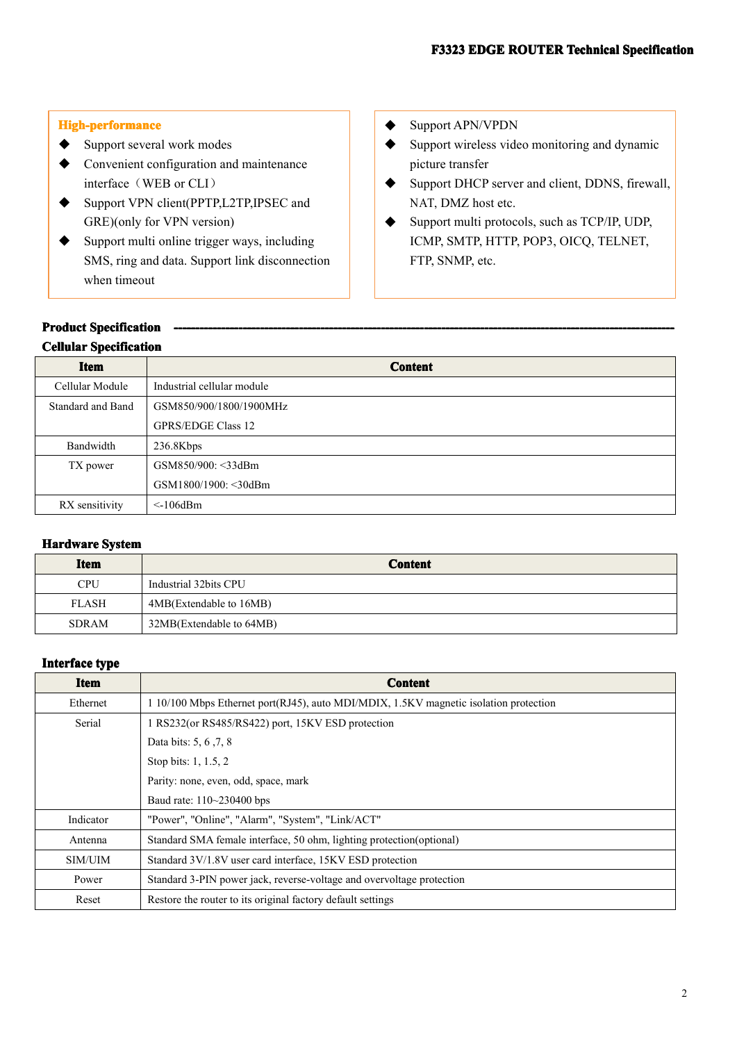### **High-performance**

- ◆ Support several work modes
- � Convenient configuration and maintenance interface (WEB or CLI)
- � Support VPN client(PPTP,L2TP,IPSEC and GRE)(only for VPN version)
- � Support multi online trigger ways, including SMS, ring and data. Support link disconnection when timeout

### ◆ Support APN/VPDN

- � Support wireless video monitoring and dynamic picture transfer
- � Support DHCP server and client, DDNS, firewall, NAT, DMZ host etc.
- � Support multi protocols, such as TCP/IP, UDP, ICMP, SMTP, HTTP, POP3, OICQ, TELNET, FTP, SNMP, etc.

# **Product Specification Specification------------------------------------------------------------------------------- -------------------------------------------------------------------------------------------------------------------- ------------------------------------- -------------------------------------Cellular CellularCellular Specification Specification Specification**

| <b>Item</b>       | <b>Content</b>             |
|-------------------|----------------------------|
| Cellular Module   | Industrial cellular module |
| Standard and Band | GSM850/900/1800/1900MHz    |
|                   | <b>GPRS/EDGE Class 12</b>  |
| Bandwidth         | 236.8Kbps                  |
| TX power          | GSM850/900: <33dBm         |
|                   | GSM1800/1900: < 30dBm      |
| RX sensitivity    | $\leq$ -106dBm             |

### **Hardware** System

| <b>Item</b>  | <b>Content</b>           |
|--------------|--------------------------|
| <b>CPU</b>   | Industrial 32bits CPU    |
| <b>FLASH</b> | 4MB(Extendable to 16MB)  |
| <b>SDRAM</b> | 32MB(Extendable to 64MB) |

### **Interface Interface Interface Interface type**

| Item      | <b>Content</b>                                                                        |
|-----------|---------------------------------------------------------------------------------------|
| Ethernet  | 1 10/100 Mbps Ethernet port(RJ45), auto MDI/MDIX, 1.5KV magnetic isolation protection |
| Serial    | 1 RS232(or RS485/RS422) port, 15KV ESD protection                                     |
|           | Data bits: 5, 6, 7, 8                                                                 |
|           | Stop bits: 1, 1.5, 2                                                                  |
|           | Parity: none, even, odd, space, mark                                                  |
|           | Baud rate: 110~230400 bps                                                             |
| Indicator | "Power", "Online", "Alarm", "System", "Link/ACT"                                      |
| Antenna   | Standard SMA female interface, 50 ohm, lighting protection (optional)                 |
| SIM/UIM   | Standard 3V/1.8V user card interface, 15KV ESD protection                             |
| Power     | Standard 3-PIN power jack, reverse-voltage and overvoltage protection                 |
| Reset     | Restore the router to its original factory default settings                           |